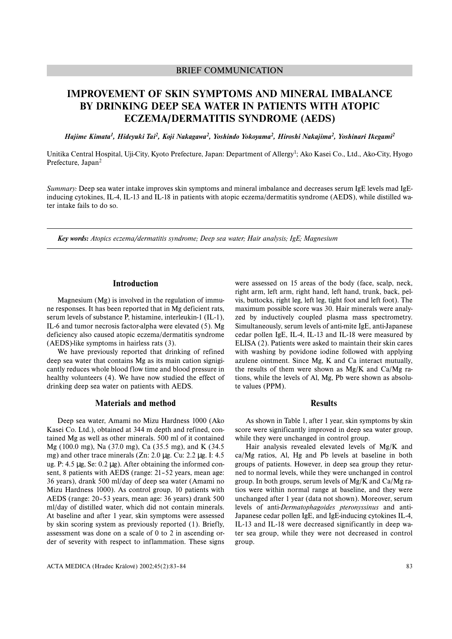# BRIEF COMMUNICATION

# **IMPROVEMENT OF SKIN SYMPTOMS AND MINERAL IMBALANCE BY DRINKING DEEP SEA WATER IN PATIENTS WITH ATOPIC ECZEMA/DERMATITIS SYNDROME (AEDS)**

*Hajime Kimata1, Hideyuki Tai2, Koji Nakagawa2, Yoshindo Yokoyama2, Hiroshi Nakajima2, Yoshinari Ikegami2*

Unitika Central Hospital, Uji-City, Kyoto Prefecture, Japan: Department of Allergy1; Ako Kasei Co., Ltd., Ako-City, Hyogo Prefecture, Japan<sup>2</sup>

*Summary:* Deep sea water intake improves skin symptoms and mineral imbalance and decreases serum IgE levels mad IgEinducing cytokines, IL-4, IL-13 and IL-18 in patients with atopic eczema/dermatitis syndrome (AEDS), while distilled water intake fails to do so.

*Key words: Atopics eczema/dermatitis syndrome; Deep sea water; Hair analysis; IgE; Magnesium*

## **Introduction**

Magnesium (Mg) is involved in the regulation of immune responses. It has been reported that in Mg deficient rats, serum levels of substance P, histamine, interleukin-1 (IL-1), IL-6 and tumor necrosis factor-alpha were elevated (5). Mg deficiency also caused atopic eczema/dermatitis syndrome (AEDS)-like symptoms in hairless rats (3).

We have previously reported that drinking of refined deep sea water that contains Mg as its main cation signigicantly reduces whole blood flow time and blood pressure in healthy volunteers (4). We have now studied the effect of drinking deep sea water on patients with AEDS.

## **Materials and method**

Deep sea water, Amami no Mizu Hardness 1000 (Ako Kasei Co. Ltd.), obtained at 344 m depth and refined, contained Mg as well as other minerals. 500 ml of it contained Mg (100.0 mg), Na (37.0 mg), Ca (35.5 mg), and K (34.5 mg) and other trace minerals (Zn: 2.0 µg. Cu: 2.2 µg. I: 4.5 ug. P: 4.5  $\mu$ g, Se: 0.2  $\mu$ g). After obtaining the informed consent, 8 patients with AEDS (range: 21–52 years, mean age: 36 years), drank 500 ml/day of deep sea water (Amami no Mizu Hardness 1000). As control group, 10 patients with AEDS (range: 20–53 years, mean age: 36 years) drank 500 ml/day of distilled water, which did not contain minerals. At baseline and after 1 year, skin symptoms were assessed by skin scoring system as previously reported (1). Briefly, assessment was done on a scale of 0 to 2 in ascending order of severity with respect to inflammation. These signs were assessed on 15 areas of the body (face, scalp, neck, right arm, left arm, right hand, left hand, trunk, back, pelvis, buttocks, right leg, left leg, tight foot and left foot). The maximum possible score was 30. Hair minerals were analyzed by inductively coupled plasma mass spectrometry. Simultaneously, serum levels of anti-mite IgE, anti-Japanese cedar pollen IgE, IL-4, IL-13 and IL-18 were measured by ELISA (2). Patients were asked to maintain their skin cares with washing by povidone iodine followed with applying azulene ointment. Since Mg, K and Ca interact mutually, the results of them were shown as  $Mg/K$  and Ca/Mg rations, while the levels of Al, Mg, Pb were shown as absolute values (PPM).

#### **Results**

As shown in Table 1, after 1 year, skin symptoms by skin score were significantly improved in deep sea water group, while they were unchanged in control group.

Hair analysis revealed elevated levels of Mg/K and ca/Mg ratios, Al, Hg and Pb levels at baseline in both groups of patients. However, in deep sea group they returned to normal levels, while they were unchanged in control group. In both groups, serum levels of Mg/K and Ca/Mg ratios were within normal range at baseline, and they were unchanged after 1 year (data not shown). Moreover, serum levels of anti-*Dermatophagoides pteronyssinus* and anti-Japanese cedar pollen IgE, and IgE-inducing cytokines IL-4, IL-13 and IL-18 were decreased significantly in deep water sea group, while they were not decreased in control group.